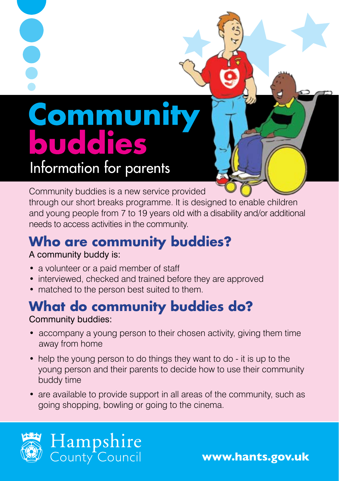# **Communit<br>buddies** Information for parents

Community buddies is a new service provided

through our short breaks programme. It is designed to enable children and young people from 7 to 19 years old with a disability and/or additional needs to access activities in the community.

# **Who are community buddies?**

#### A community buddy is:

- a volunteer or a paid member of staff
- interviewed, checked and trained before they are approved
- matched to the person best suited to them.

#### **What do community buddies do?** Community buddies:

- accompany a young person to their chosen activity, giving them time away from home
- help the young person to do things they want to do it is up to the young person and their parents to decide how to use their community buddy time
- are available to provide support in all areas of the community, such as going shopping, bowling or going to the cinema.



**www.hants.gov.uk**